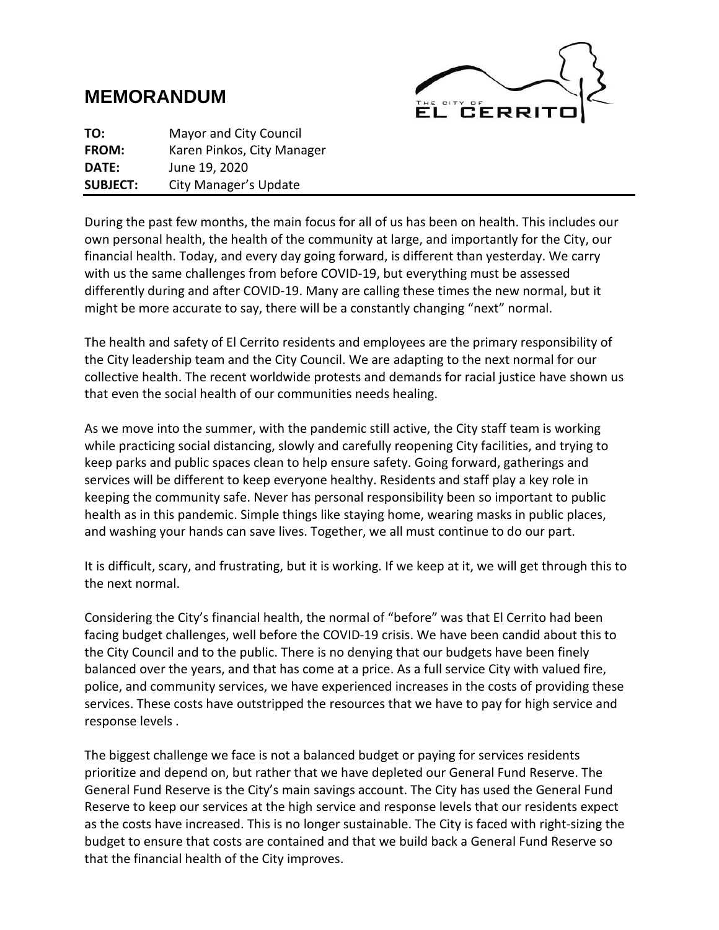# **MEMORANDUM**



**TO:** Mayor and City Council **FROM:** Karen Pinkos, City Manager **DATE:** June 19, 2020 **SUBJECT:** City Manager's Update

During the past few months, the main focus for all of us has been on health. This includes our own personal health, the health of the community at large, and importantly for the City, our financial health. Today, and every day going forward, is different than yesterday. We carry with us the same challenges from before COVID-19, but everything must be assessed differently during and after COVID-19. Many are calling these times the new normal, but it might be more accurate to say, there will be a constantly changing "next" normal.

The health and safety of El Cerrito residents and employees are the primary responsibility of the City leadership team and the City Council. We are adapting to the next normal for our collective health. The recent worldwide protests and demands for racial justice have shown us that even the social health of our communities needs healing.

As we move into the summer, with the pandemic still active, the City staff team is working while practicing social distancing, slowly and carefully reopening City facilities, and trying to keep parks and public spaces clean to help ensure safety. Going forward, gatherings and services will be different to keep everyone healthy. Residents and staff play a key role in keeping the community safe. Never has personal responsibility been so important to public health as in this pandemic. Simple things like staying home, wearing masks in public places, and washing your hands can save lives. Together, we all must continue to do our part.

It is difficult, scary, and frustrating, but it is working. If we keep at it, we will get through this to the next normal.

Considering the City's financial health, the normal of "before" was that El Cerrito had been facing budget challenges, well before the COVID-19 crisis. We have been candid about this to the City Council and to the public. There is no denying that our budgets have been finely balanced over the years, and that has come at a price. As a full service City with valued fire, police, and community services, we have experienced increases in the costs of providing these services. These costs have outstripped the resources that we have to pay for high service and response levels .

The biggest challenge we face is not a balanced budget or paying for services residents prioritize and depend on, but rather that we have depleted our General Fund Reserve. The General Fund Reserve is the City's main savings account. The City has used the General Fund Reserve to keep our services at the high service and response levels that our residents expect as the costs have increased. This is no longer sustainable. The City is faced with right-sizing the budget to ensure that costs are contained and that we build back a General Fund Reserve so that the financial health of the City improves.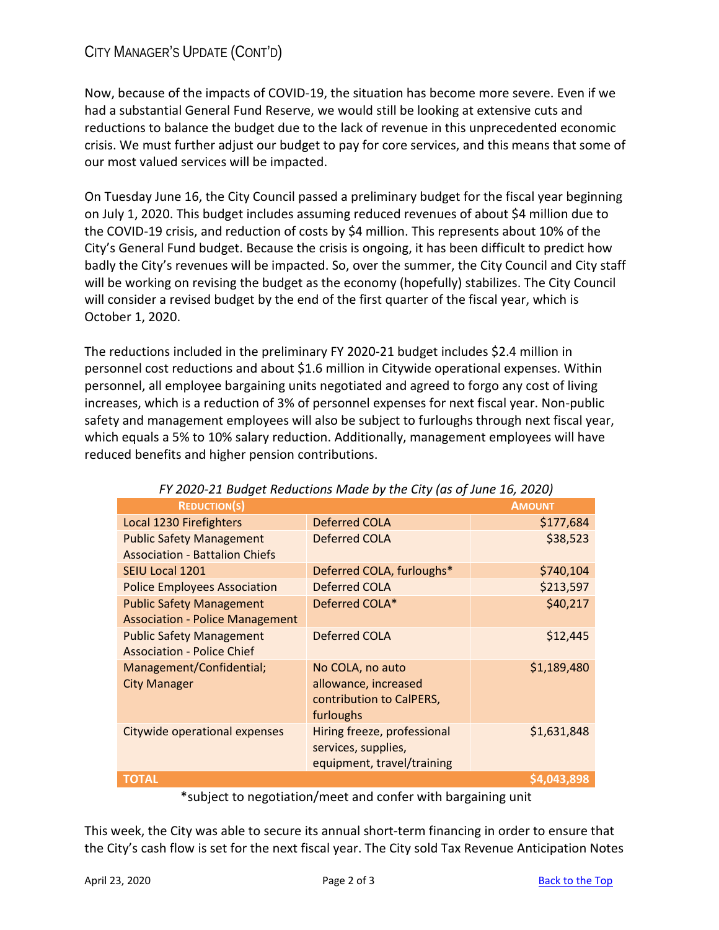## CITY MANAGER'S UPDATE (CONT'D)

Now, because of the impacts of COVID-19, the situation has become more severe. Even if we had a substantial General Fund Reserve, we would still be looking at extensive cuts and reductions to balance the budget due to the lack of revenue in this unprecedented economic crisis. We must further adjust our budget to pay for core services, and this means that some of our most valued services will be impacted.

On Tuesday June 16, the City Council passed a preliminary budget for the fiscal year beginning on July 1, 2020. This budget includes assuming reduced revenues of about \$4 million due to the COVID-19 crisis, and reduction of costs by \$4 million. This represents about 10% of the City's General Fund budget. Because the crisis is ongoing, it has been difficult to predict how badly the City's revenues will be impacted. So, over the summer, the City Council and City staff will be working on revising the budget as the economy (hopefully) stabilizes. The City Council will consider a revised budget by the end of the first quarter of the fiscal year, which is October 1, 2020.

The reductions included in the preliminary FY 2020-21 budget includes \$2.4 million in personnel cost reductions and about \$1.6 million in Citywide operational expenses. Within personnel, all employee bargaining units negotiated and agreed to forgo any cost of living increases, which is a reduction of 3% of personnel expenses for next fiscal year. Non-public safety and management employees will also be subject to furloughs through next fiscal year, which equals a 5% to 10% salary reduction. Additionally, management employees will have reduced benefits and higher pension contributions.

| $\frac{1}{2}$ 2020 22 Baaqet neaderlong made by the erry (as of same 20) 2020; |                             |               |
|--------------------------------------------------------------------------------|-----------------------------|---------------|
| <b>REDUCTION(S)</b>                                                            |                             | <b>AMOUNT</b> |
| Local 1230 Firefighters                                                        | Deferred COLA               | \$177,684     |
| <b>Public Safety Management</b>                                                | Deferred COLA               | \$38,523      |
| <b>Association - Battalion Chiefs</b>                                          |                             |               |
| SEIU Local 1201                                                                | Deferred COLA, furloughs*   | \$740,104     |
| <b>Police Employees Association</b>                                            | <b>Deferred COLA</b>        | \$213,597     |
| <b>Public Safety Management</b>                                                | Deferred COLA*              | \$40,217      |
| <b>Association - Police Management</b>                                         |                             |               |
| <b>Public Safety Management</b>                                                | <b>Deferred COLA</b>        | \$12,445      |
| <b>Association - Police Chief</b>                                              |                             |               |
| Management/Confidential;                                                       | No COLA, no auto            | \$1,189,480   |
| <b>City Manager</b>                                                            | allowance, increased        |               |
|                                                                                | contribution to CalPERS,    |               |
|                                                                                | furloughs                   |               |
| Citywide operational expenses                                                  | Hiring freeze, professional | \$1,631,848   |
|                                                                                | services, supplies,         |               |
|                                                                                | equipment, travel/training  |               |
| <b>TOTAL</b>                                                                   |                             | \$4,043,898   |

#### *FY 2020-21 Budget Reductions Made by the City (as of June 16, 2020)*

\*subject to negotiation/meet and confer with bargaining unit

This week, the City was able to secure its annual short-term financing in order to ensure that the City's cash flow is set for the next fiscal year. The City sold Tax Revenue Anticipation Notes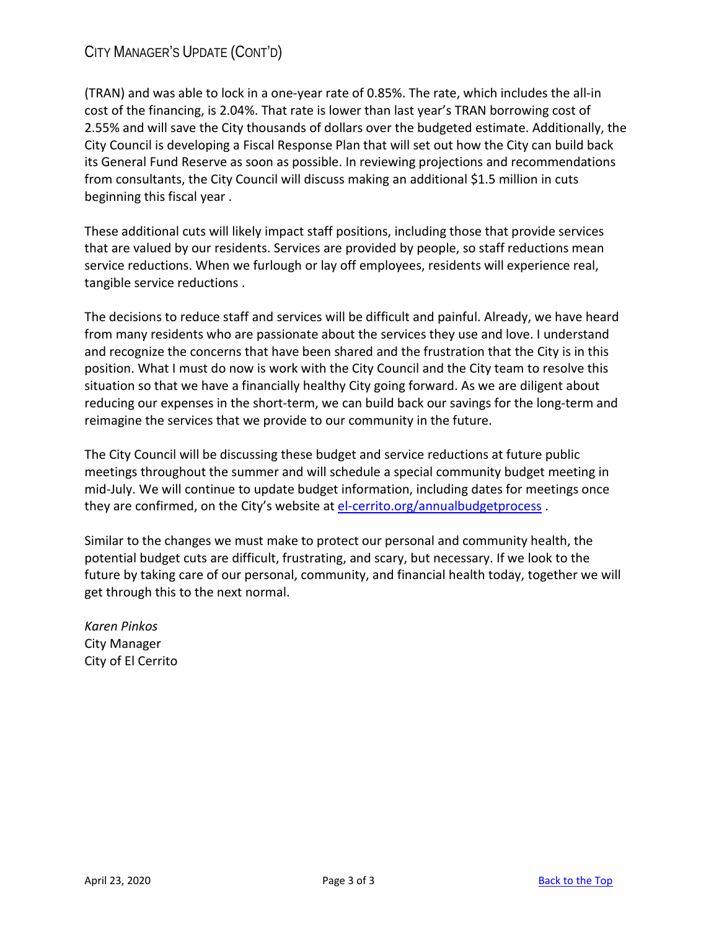## CITY MANAGER'S UPDATE (CONT'D)

(TRAN) and was able to lock in a one-year rate of 0.85%. The rate, which includes the all-in cost of the financing, is 2.04%. That rate is lower than last year's TRAN borrowing cost of 2.55% and will save the City thousands of dollars over the budgeted estimate. Additionally, the City Council is developing a Fiscal Response Plan that will set out how the City can build back its General Fund Reserve as soon as possible. In reviewing projections and recommendations from consultants, the City Council will discuss making an additional \$1.5 million in cuts beginning this fiscal year .

These additional cuts will likely impact staff positions, including those that provide services that are valued by our residents. Services are provided by people, so staff reductions mean service reductions. When we furlough or lay off employees, residents will experience real, tangible service reductions .

The decisions to reduce staff and services will be difficult and painful. Already, we have heard from many residents who are passionate about the services they use and love. I understand and recognize the concerns that have been shared and the frustration that the City is in this position. What I must do now is work with the City Council and the City team to resolve this situation so that we have a financially healthy City going forward. As we are diligent about reducing our expenses in the short-term, we can build back our savings for the long-term and reimagine the services that we provide to our community in the future.

The City Council will be discussing these budget and service reductions at future public meetings throughout the summer and will schedule a special community budget meeting in mid-July. We will continue to update budget information, including dates for meetings once they are confirmed, on the City's website at el-cerrito.org/annualbudgetprocess.

Similar to the changes we must make to protect our personal and community health, the potential budget cuts are difficult, frustrating, and scary, but necessary. If we look to the future by taking care of our personal, community, and financial health today, together we will get through this to the next normal.

*Karen Pinkos*  City Manager City of El Cerrito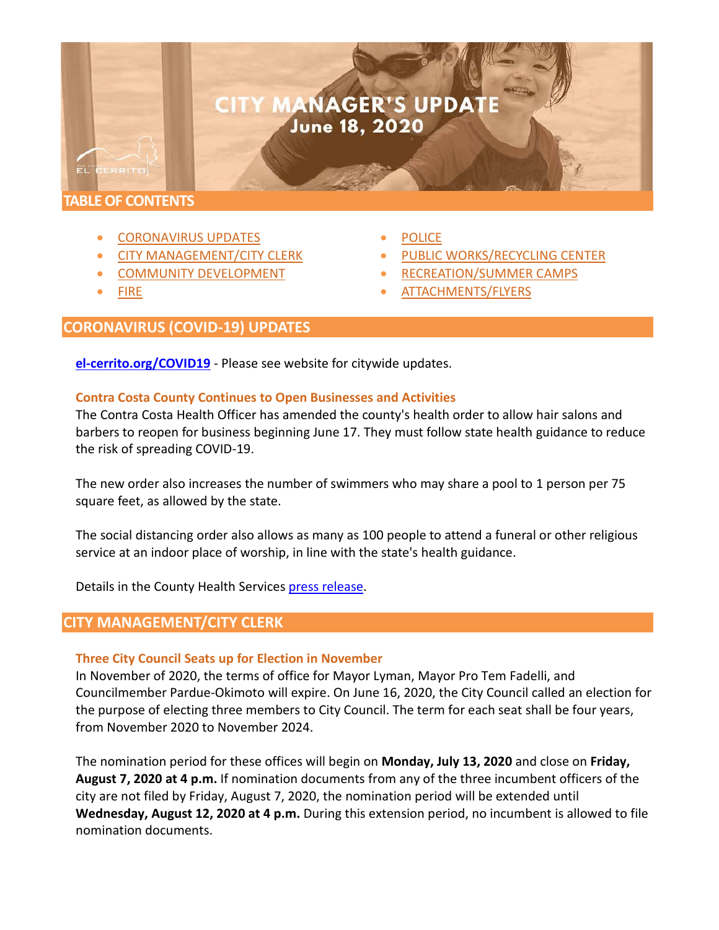# **CITY MANAGER'S UPDATE** June 18, 2020

#### **TABLE OF CONTENTS**

ËL

- CORONAVIRUS UPDATES
- CITY MANAGEMENT/CITY CLERK
- COMMUNITY DEVELOPMENT
- [FIRE](#page-6-0)
- **[POLICE](#page-6-1)**
- [PUBLIC WORKS/](#page-6-1)RECYCLING CENTER
- [RECREATION/](#page-7-0)SUMMER CAMPS
- ATTACHMENTS/FLYERS

#### **CORONAVIRUS (COVID-19) UPDATES**

**[el-cerrito.org/COVID19](http://www.el-cerrito.org/COVID19)** - Please see website for citywide updates.

#### **Contra Costa County Continues to Open Businesses and Activities**

The Contra Costa Health Officer has amended the county's health order to allow hair salons and barbers to reopen for business beginning June 17. They must follow state health guidance to reduce the risk of spreading COVID-19.

The new order also increases the number of swimmers who may share a pool to 1 person per 75 square feet, as allowed by the state.

The social distancing order also allows as many as 100 people to attend a funeral or other religious service at an indoor place of worship, in line with the state's health guidance.

Details in the County Health Services [press release.](https://cchealth.org/press-releases/2020/0616-Open-Businesses-and-Activities.php)

#### **CITY MANAGEMENT/CITY CLERK**

#### **Three City Council Seats up for Election in November**

In November of 2020, the terms of office for Mayor Lyman, Mayor Pro Tem Fadelli, and Councilmember Pardue-Okimoto will expire. On June 16, 2020, the City Council called an election for the purpose of electing three members to City Council. The term for each seat shall be four years, from November 2020 to November 2024.

The nomination period for these offices will begin on **Monday, July 13, 2020** and close on **Friday, August 7, 2020 at 4 p.m.** If nomination documents from any of the three incumbent officers of the city are not filed by Friday, August 7, 2020, the nomination period will be extended until **Wednesday, August 12, 2020 at 4 p.m.** During this extension period, no incumbent is allowed to file nomination documents.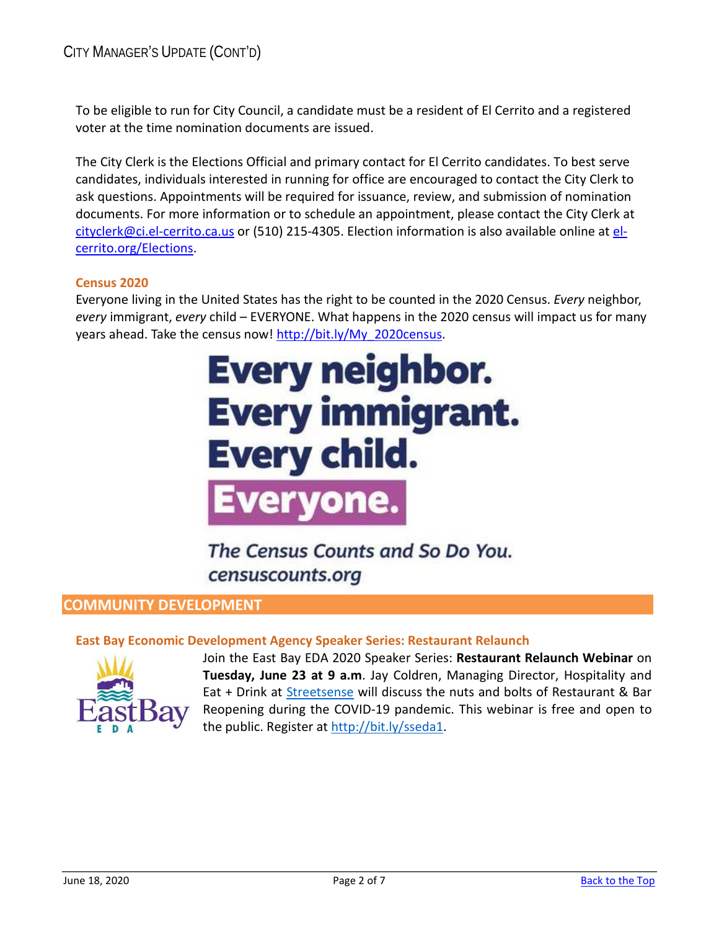To be eligible to run for City Council, a candidate must be a resident of El Cerrito and a registered voter at the time nomination documents are issued.

The City Clerk is the Elections Official and primary contact for El Cerrito candidates. To best serve candidates, individuals interested in running for office are encouraged to contact the City Clerk to ask questions. Appointments will be required for issuance, review, and submission of nomination documents. For more information or to schedule an appointment, please contact the City Clerk at [cityclerk@ci.el-cerrito.ca.us](mailto:cityclerk@ci.el-cerrito.ca.us) or (510) 215-4305. Election information is also available online at [el](http://www.el-cerrito.org/Elections)[cerrito.org/Elections.](http://www.el-cerrito.org/Elections)

#### **Census 2020**

Everyone living in the United States has the right to be counted in the 2020 Census. *Every* neighbor, *every* immigrant, *every* child – EVERYONE. What happens in the 2020 census will impact us for many years ahead. Take the census now! [http://bit.ly/My\\_2020census.](http://bit.ly/My_2020census)

# **Every neighbor. Every immigrant. Every child.** ervon

The Census Counts and So Do You. censuscounts.org

#### **COMMUNITY DEVELOPMENT**

#### **East Bay Economic Development Agency Speaker Series: Restaurant Relaunch**



Join the East Bay EDA 2020 Speaker Series: **Restaurant Relaunch Webinar** on **Tuesday, June 23 at 9 a.m**. Jay Coldren, Managing Director, Hospitality and Eat + Drink at [Streetsense](http://streetsense.com/) will discuss the nuts and bolts of Restaurant & Bar Reopening during the COVID-19 pandemic. This webinar is free and open to the public. Register at [http://bit.ly/sseda1.](http://bit.ly/sseda1)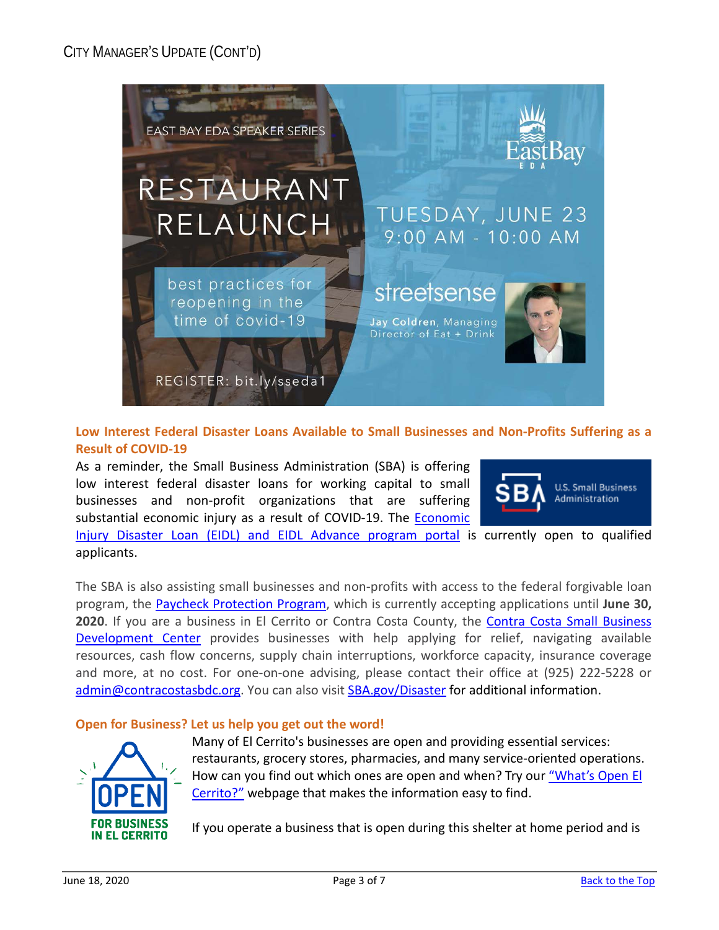

**Low Interest Federal Disaster Loans Available to Small Businesses and Non-Profits Suffering as a Result of COVID-19** 

As a reminder, the Small Business Administration (SBA) is offering low interest federal disaster loans for working capital to small businesses and non-profit organizations that are suffering substantial economic injury as a result of COVID-19. The Economic



[Injury Disaster Loan \(EIDL\) and EIDL Advance program portal](https://www.sba.gov/disaster) is currently open to qualified applicants.

The SBA is also assisting small businesses and non-profits with access to the federal forgivable loan program, the [Paycheck Protection Program,](http://www.sba.gov/paycheckprotection) which is currently accepting applications until **June 30, 2020**. If you are a business in El Cerrito or Contra Costa County, the [Contra Costa Small Business](https://www.contracostasbdc.org/)  [Development Center](https://www.contracostasbdc.org/) provides businesses with help applying for relief, navigating available resources, cash flow concerns, supply chain interruptions, workforce capacity, insurance coverage and more, at no cost. For one-on-one advising, please contact their office at (925) 222-5228 or [admin@contracostasbdc.org.](mailto:admin@contracostasbdc.org) You can also visit [SBA.gov/Disaster](http://www.sba.gov/Disaster) for additional information.

#### **Open for Business? Let us help you get out the word!**



Many of El Cerrito's businesses are open and providing essential services: restaurants, grocery stores, pharmacies, and many service-oriented operations. How can you find out which ones are open and when? Try our ["What's Open El](http://www.el-cerrito.org/whatsopenelcerrito)  [Cerrito?"](http://www.el-cerrito.org/whatsopenelcerrito) webpage that makes the information easy to find.

If you operate a business that is open during this shelter at home period and is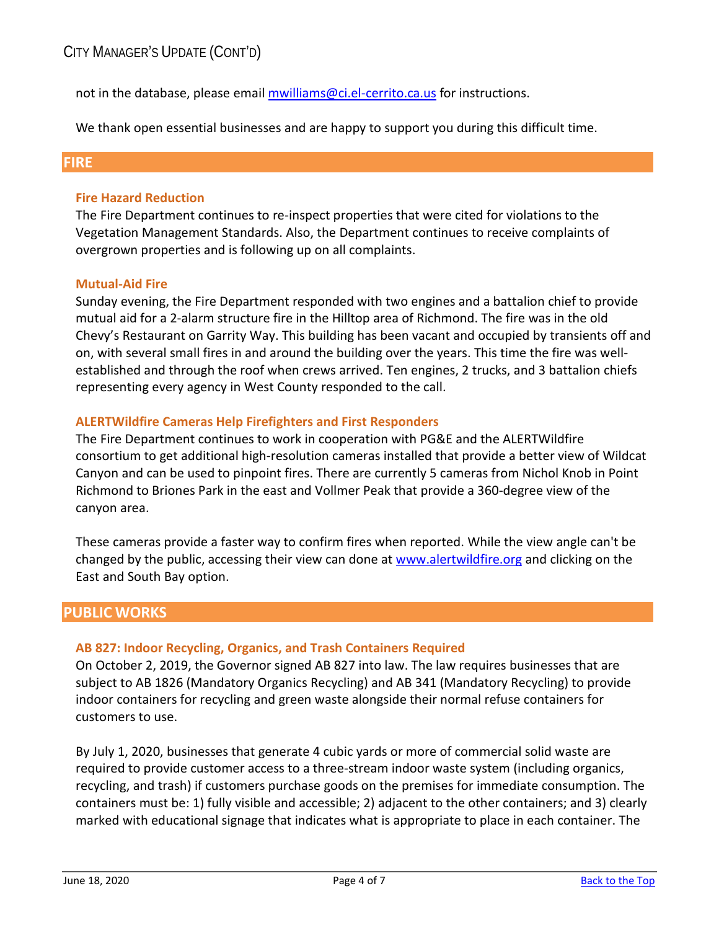not in the database, please email [mwilliams@ci.el-cerrito.ca.us](mailto:mwilliams@ci.el-cerrito.ca.us) for instructions.

We thank open essential businesses and are happy to support you during this difficult time.

#### <span id="page-6-0"></span>**FIRE**

#### **Fire Hazard Reduction**

The Fire Department continues to re-inspect properties that were cited for violations to the Vegetation Management Standards. Also, the Department continues to receive complaints of overgrown properties and is following up on all complaints.

#### **Mutual-Aid Fire**

Sunday evening, the Fire Department responded with two engines and a battalion chief to provide mutual aid for a 2-alarm structure fire in the Hilltop area of Richmond. The fire was in the old Chevy's Restaurant on Garrity Way. This building has been vacant and occupied by transients off and on, with several small fires in and around the building over the years. This time the fire was wellestablished and through the roof when crews arrived. Ten engines, 2 trucks, and 3 battalion chiefs representing every agency in West County responded to the call.

#### **ALERTWildfire Cameras Help Firefighters and First Responders**

The Fire Department continues to work in cooperation with PG&E and the ALERTWildfire consortium to get additional high-resolution cameras installed that provide a better view of Wildcat Canyon and can be used to pinpoint fires. There are currently 5 cameras from Nichol Knob in Point Richmond to Briones Park in the east and Vollmer Peak that provide a 360-degree view of the canyon area.

These cameras provide a faster way to confirm fires when reported. While the view angle can't be changed by the public, accessing their view can done at [www.alertwildfire.org](http://www.alertwildfire.org/) and clicking on the East and South Bay option.

#### <span id="page-6-1"></span>**PUBLIC WORKS**

#### **AB 827: Indoor Recycling, Organics, and Trash Containers Required**

On October 2, 2019, the Governor signed AB 827 into law. The law requires businesses that are subject to AB 1826 (Mandatory Organics Recycling) and AB 341 (Mandatory Recycling) to provide indoor containers for recycling and green waste alongside their normal refuse containers for customers to use.

By July 1, 2020, businesses that generate 4 cubic yards or more of commercial solid waste are required to provide customer access to a three-stream indoor waste system (including organics, recycling, and trash) if customers purchase goods on the premises for immediate consumption. The containers must be: 1) fully visible and accessible; 2) adjacent to the other containers; and 3) clearly marked with educational signage that indicates what is appropriate to place in each container. The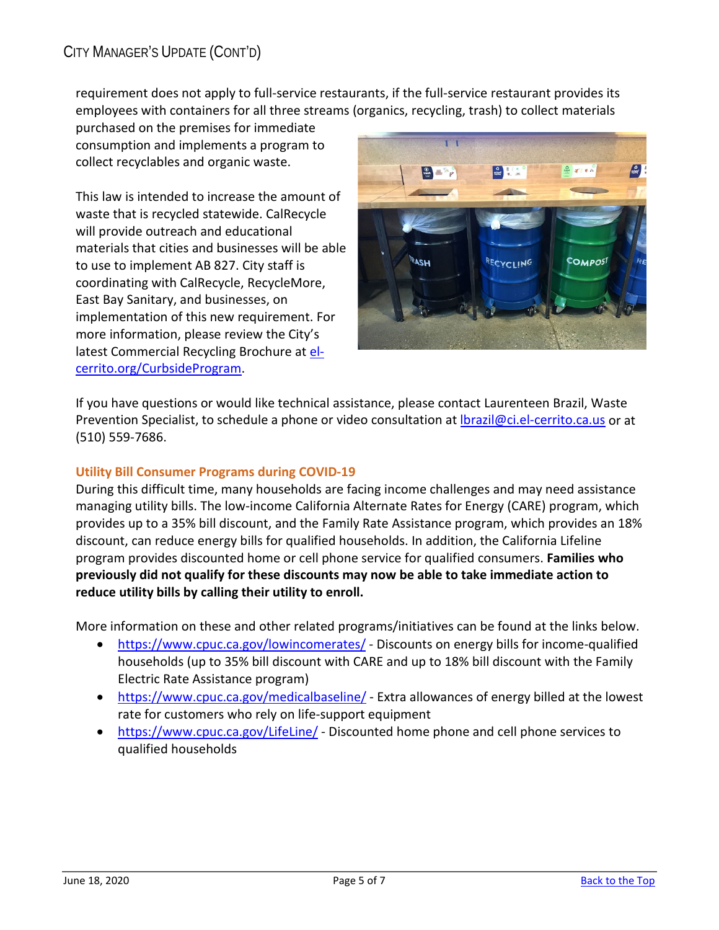requirement does not apply to full-service restaurants, if the full-service restaurant provides its employees with containers for all three streams (organics, recycling, trash) to collect materials

purchased on the premises for immediate consumption and implements a program to collect recyclables and organic waste.

This law is intended to increase the amount of waste that is recycled statewide. CalRecycle will provide outreach and educational materials that cities and businesses will be able to use to implement AB 827. City staff is coordinating with CalRecycle, RecycleMore, East Bay Sanitary, and businesses, on implementation of this new requirement. For more information, please review the City's latest Commercial Recycling Brochure at [el](http://www.el-cerrito.org/CurbsideProgram)[cerrito.org/CurbsideProgram.](http://www.el-cerrito.org/CurbsideProgram)



If you have questions or would like technical assistance, please contact Laurenteen Brazil, Waste Prevention Specialist, to schedule a phone or video consultation at Ibrazil@ci.el-cerrito.ca.us or at (510) 559-7686.

#### **Utility Bill Consumer Programs during COVID-19**

During this difficult time, many households are facing income challenges and may need assistance managing utility bills. The low-income California Alternate Rates for Energy (CARE) program, which provides up to a 35% bill discount, and the Family Rate Assistance program, which provides an 18% discount, can reduce energy bills for qualified households. In addition, the California Lifeline program provides discounted home or cell phone service for qualified consumers. **Families who previously did not qualify for these discounts may now be able to take immediate action to reduce utility bills by calling their utility to enroll.** 

More information on these and other related programs/initiatives can be found at the links below.

- <https://www.cpuc.ca.gov/lowincomerates/> Discounts on energy bills for income-qualified households (up to 35% bill discount with CARE and up to 18% bill discount with the Family Electric Rate Assistance program)
- [https://www.cpuc.ca.gov/medicalbaseline/](http://www.cpuc.ca.gov/medicalbaseline/)  Extra allowances of energy billed at the lowest rate for customers who rely on life-support equipment
- <span id="page-7-0"></span>• [https://www.cpuc.ca.gov/LifeLine/](http://www.cpuc.ca.gov/LifeLine/) - Discounted home phone and cell phone services to qualified households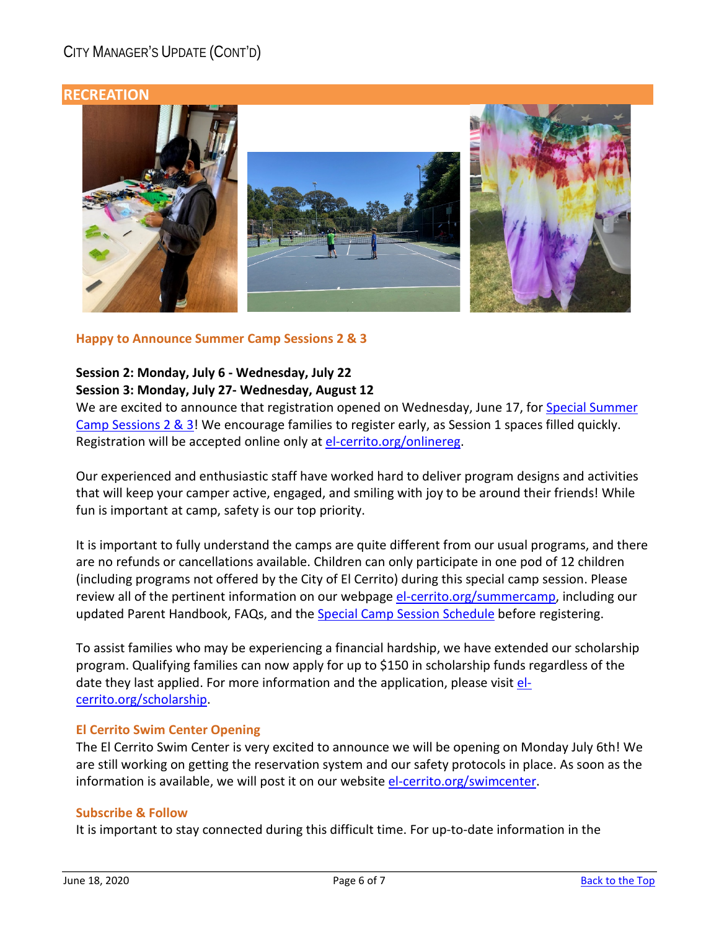# CITY MANAGER'S UPDATE (CONT'D)

#### **RECREATION**



#### **Happy to Announce Summer Camp Sessions 2 & 3**

#### **Session 2: Monday, July 6 - Wednesday, July 22 Session 3: Monday, July 27- Wednesday, August 12**

We are excited to announce that registration opened on Wednesday, June 17, for Special Summer [Camp Sessions 2 & 3!](https://www.el-cerrito.org/DocumentCenter/View/14332/Special-Summer-Camp-2-3-Schedule) We encourage families to register early, as Session 1 spaces filled quickly. Registration will be accepted online only at [el-cerrito.org/onlinereg.](https://word-edit.officeapps.live.com/we/www.el-cerrito.org/onlinereg)

Our experienced and enthusiastic staff have worked hard to deliver program designs and activities that will keep your camper active, engaged, and smiling with joy to be around their friends! While fun is important at camp, safety is our top priority.

It is important to fully understand the camps are quite different from our usual programs, and there are no refunds or cancellations available. Children can only participate in one pod of 12 children (including programs not offered by the City of El Cerrito) during this special camp session. Please review all of the pertinent information on our webpage [el-cerrito.org/summercamp,](https://word-edit.officeapps.live.com/we/www.el-cerrito.org/summercamp) including our updated Parent Handbook, FAQs, and the [Special Camp Session Schedule](https://www.el-cerrito.org/DocumentCenter/View/14332/Special-Summer-Camp-2-3-Schedule) before registering.

To assist families who may be experiencing a financial hardship, we have extended our scholarship program. Qualifying families can now apply for up to \$150 in scholarship funds regardless of the date they last applied. For more information and the application, please visit [el](http://www.el-cerrito.org/scholarship)[cerrito.org/scholarship.](http://www.el-cerrito.org/scholarship)

#### **El Cerrito Swim Center Opening**

The El Cerrito Swim Center is very excited to announce we will be opening on Monday July 6th! We are still working on getting the reservation system and our safety protocols in place. As soon as the information is available, we will post it on our websit[e el-cerrito.org/swimcenter.](http://www.el-cerrito.org/swimcenter)

#### **Subscribe & Follow**

It is important to stay connected during this difficult time. For up-to-date information in the